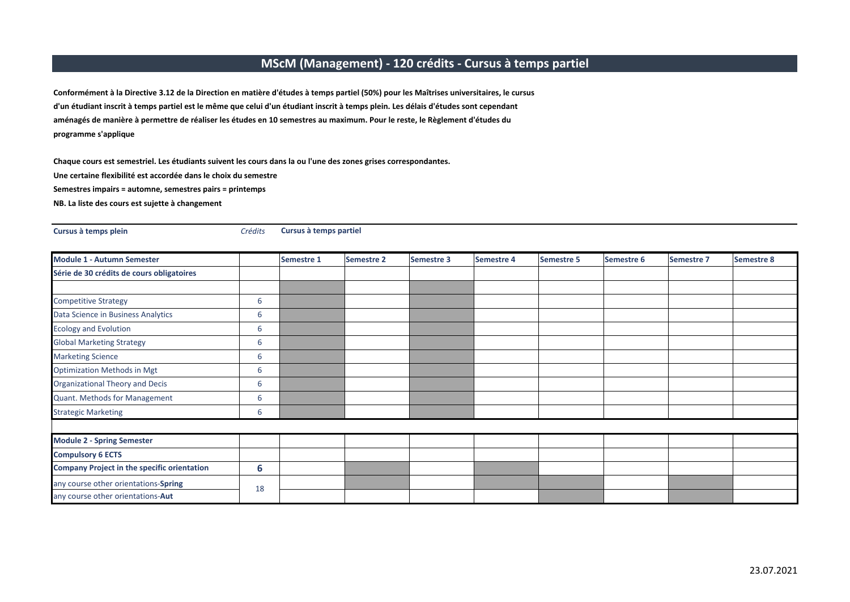## **MScM (Management) ‐ 120 crédits ‐ Cursus à temps partiel**

**programme <sup>s</sup>'applique** Conformément à la Directive 3.12 de la Direction en matière d'études à temps partiel (50%) pour les Maîtrises universitaires, le cursus d'un étudiant inscrit à temps partiel est le même que celui d'un étudiant inscrit à temps plein. Les délais d'études sont cependant aménagés de manière à permettre de réaliser les études en 10 semestres au maximum. Pour le reste, le Règlement d'études du

**Cursus à temps partiel**

**Une certaine flexibilité est accordée dans le choix du semestre** Chaque cours est semestriel. Les étudiants suivent les cours dans la ou l'une des zones grises correspondantes.

**Semestres impairs <sup>=</sup> automne, semestres pairs <sup>=</sup> printemps**

**Cursus à temps plein** *Crédits*

**NB. La liste des cours est sujette à changement**

| <b>Module 1 - Autumn Semester</b>                  |    | <b>Semestre 1</b> | <b>Semestre 2</b> | <b>Semestre 3</b> | <b>Semestre 4</b> | <b>Semestre 5</b> | <b>Semestre 6</b> | <b>Semestre 7</b> | <b>Semestre 8</b> |
|----------------------------------------------------|----|-------------------|-------------------|-------------------|-------------------|-------------------|-------------------|-------------------|-------------------|
| Série de 30 crédits de cours obligatoires          |    |                   |                   |                   |                   |                   |                   |                   |                   |
|                                                    |    |                   |                   |                   |                   |                   |                   |                   |                   |
| Competitive Strategy                               | 6  |                   |                   |                   |                   |                   |                   |                   |                   |
| Data Science in Business Analytics                 | 6  |                   |                   |                   |                   |                   |                   |                   |                   |
| <b>Ecology and Evolution</b>                       | 6  |                   |                   |                   |                   |                   |                   |                   |                   |
| <b>Global Marketing Strategy</b>                   | 6  |                   |                   |                   |                   |                   |                   |                   |                   |
| <b>Marketing Science</b>                           | 6  |                   |                   |                   |                   |                   |                   |                   |                   |
| <b>Optimization Methods in Mgt</b>                 | 6  |                   |                   |                   |                   |                   |                   |                   |                   |
| Organizational Theory and Decis                    | 6  |                   |                   |                   |                   |                   |                   |                   |                   |
| Quant. Methods for Management                      | 6  |                   |                   |                   |                   |                   |                   |                   |                   |
| <b>Strategic Marketing</b>                         | 6  |                   |                   |                   |                   |                   |                   |                   |                   |
|                                                    |    |                   |                   |                   |                   |                   |                   |                   |                   |
| <b>Module 2 - Spring Semester</b>                  |    |                   |                   |                   |                   |                   |                   |                   |                   |
| <b>Compulsory 6 ECTS</b>                           |    |                   |                   |                   |                   |                   |                   |                   |                   |
| <b>Company Project in the specific orientation</b> | 6  |                   |                   |                   |                   |                   |                   |                   |                   |
| any course other orientations-Spring               | 18 |                   |                   |                   |                   |                   |                   |                   |                   |
| any course other orientations-Aut                  |    |                   |                   |                   |                   |                   |                   |                   |                   |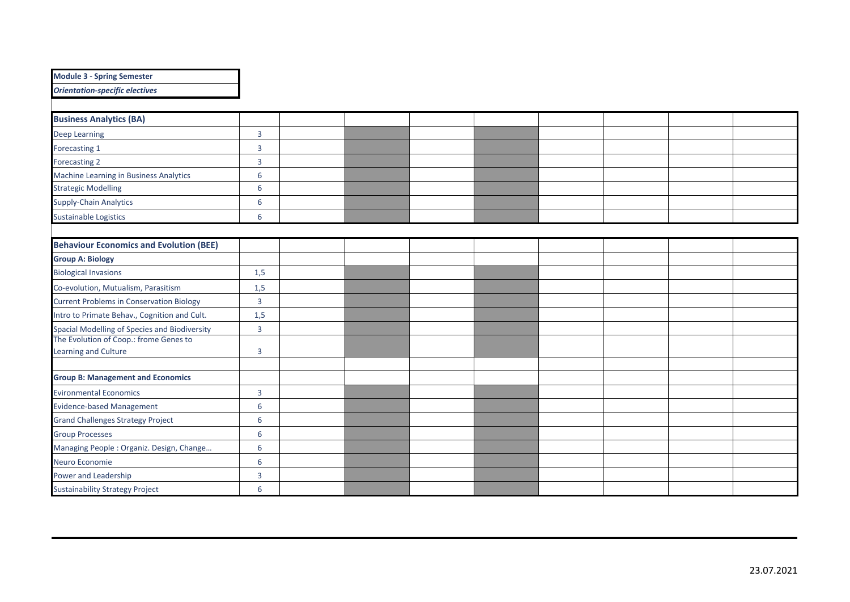| <b>Module 3 - Spring Semester</b>               |                |  |  |  |  |
|-------------------------------------------------|----------------|--|--|--|--|
| <b>Orientation-specific electives</b>           |                |  |  |  |  |
|                                                 |                |  |  |  |  |
| <b>Business Analytics (BA)</b>                  |                |  |  |  |  |
| <b>Deep Learning</b>                            | $\overline{3}$ |  |  |  |  |
| Forecasting 1                                   | $\overline{3}$ |  |  |  |  |
| Forecasting 2                                   | $\overline{3}$ |  |  |  |  |
| Machine Learning in Business Analytics          | 6              |  |  |  |  |
| <b>Strategic Modelling</b>                      | 6              |  |  |  |  |
| Supply-Chain Analytics                          | 6              |  |  |  |  |
| <b>Sustainable Logistics</b>                    | 6              |  |  |  |  |
|                                                 |                |  |  |  |  |
| <b>Behaviour Economics and Evolution (BEE)</b>  |                |  |  |  |  |
| <b>Group A: Biology</b>                         |                |  |  |  |  |
| <b>Biological Invasions</b>                     | 1,5            |  |  |  |  |
| Co-evolution, Mutualism, Parasitism             | 1,5            |  |  |  |  |
| <b>Current Problems in Conservation Biology</b> | $\overline{3}$ |  |  |  |  |
| Intro to Primate Behav., Cognition and Cult.    | 1,5            |  |  |  |  |
| Spacial Modelling of Species and Biodiversity   | $\overline{3}$ |  |  |  |  |
| The Evolution of Coop.: frome Genes to          |                |  |  |  |  |
| Learning and Culture                            | 3              |  |  |  |  |
| <b>Group B: Management and Economics</b>        |                |  |  |  |  |
| <b>Evironmental Economics</b>                   | $\overline{3}$ |  |  |  |  |
| <b>Evidence-based Management</b>                | 6              |  |  |  |  |
| <b>Grand Challenges Strategy Project</b>        | 6              |  |  |  |  |
| <b>Group Processes</b>                          | 6              |  |  |  |  |
| Managing People: Organiz. Design, Change        | 6              |  |  |  |  |
| Neuro Economie                                  | 6              |  |  |  |  |
| Power and Leadership                            | $\overline{3}$ |  |  |  |  |
| <b>Sustainability Strategy Project</b>          | 6              |  |  |  |  |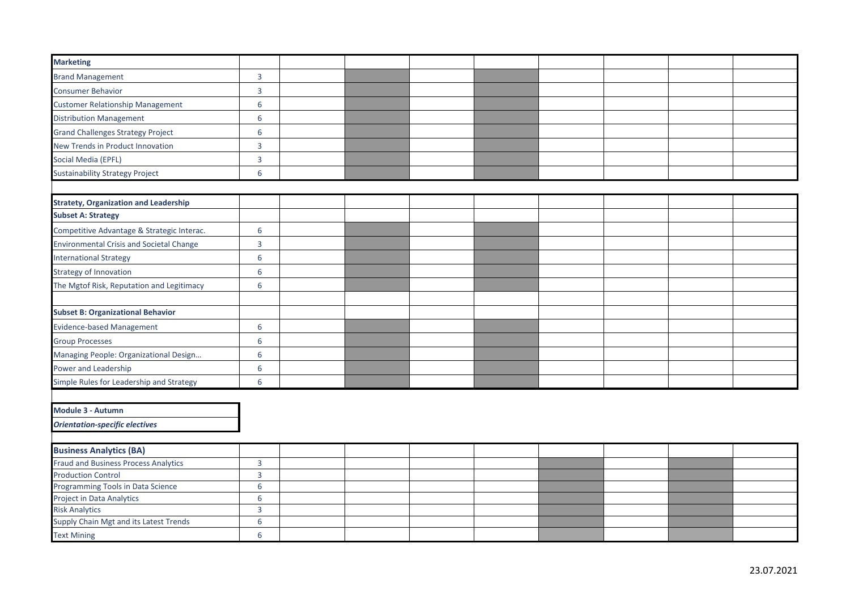| <b>Marketing</b>                                |                  |  |  |  |  |
|-------------------------------------------------|------------------|--|--|--|--|
| <b>Brand Management</b>                         | 3                |  |  |  |  |
| <b>Consumer Behavior</b>                        | $\mathbf{3}$     |  |  |  |  |
| <b>Customer Relationship Management</b>         | 6                |  |  |  |  |
| <b>Distribution Management</b>                  | 6                |  |  |  |  |
| <b>Grand Challenges Strategy Project</b>        | 6                |  |  |  |  |
| New Trends in Product Innovation                | $\overline{3}$   |  |  |  |  |
| Social Media (EPFL)                             | 3                |  |  |  |  |
| <b>Sustainability Strategy Project</b>          | 6                |  |  |  |  |
|                                                 |                  |  |  |  |  |
| <b>Stratety, Organization and Leadership</b>    |                  |  |  |  |  |
| <b>Subset A: Strategy</b>                       |                  |  |  |  |  |
| Competitive Advantage & Strategic Interac.      | 6                |  |  |  |  |
| <b>Environmental Crisis and Societal Change</b> | $\mathbf{3}$     |  |  |  |  |
| <b>International Strategy</b>                   | 6                |  |  |  |  |
| <b>Strategy of Innovation</b>                   | 6                |  |  |  |  |
| The Mgtof Risk, Reputation and Legitimacy       | 6                |  |  |  |  |
|                                                 |                  |  |  |  |  |
| <b>Subset B: Organizational Behavior</b>        |                  |  |  |  |  |
| <b>Evidence-based Management</b>                | 6                |  |  |  |  |
| <b>Group Processes</b>                          | 6                |  |  |  |  |
| Managing People: Organizational Design          | 6                |  |  |  |  |
| Power and Leadership                            | 6                |  |  |  |  |
| Simple Rules for Leadership and Strategy        | 6                |  |  |  |  |
|                                                 |                  |  |  |  |  |
| Module 3 - Autumn                               |                  |  |  |  |  |
| <b>Orientation-specific electives</b>           |                  |  |  |  |  |
| <b>Business Analytics (BA)</b>                  |                  |  |  |  |  |
| <b>Fraud and Business Process Analytics</b>     | $\overline{3}$   |  |  |  |  |
| <b>Production Control</b>                       | $\overline{3}$   |  |  |  |  |
| Programming Tools in Data Science               | 6                |  |  |  |  |
| <b>Project in Data Analytics</b>                | 6                |  |  |  |  |
| <b>Risk Analytics</b>                           | $\overline{3}$   |  |  |  |  |
| Supply Chain Mgt and its Latest Trends          | $\boldsymbol{6}$ |  |  |  |  |
| <b>Text Mining</b>                              | 6                |  |  |  |  |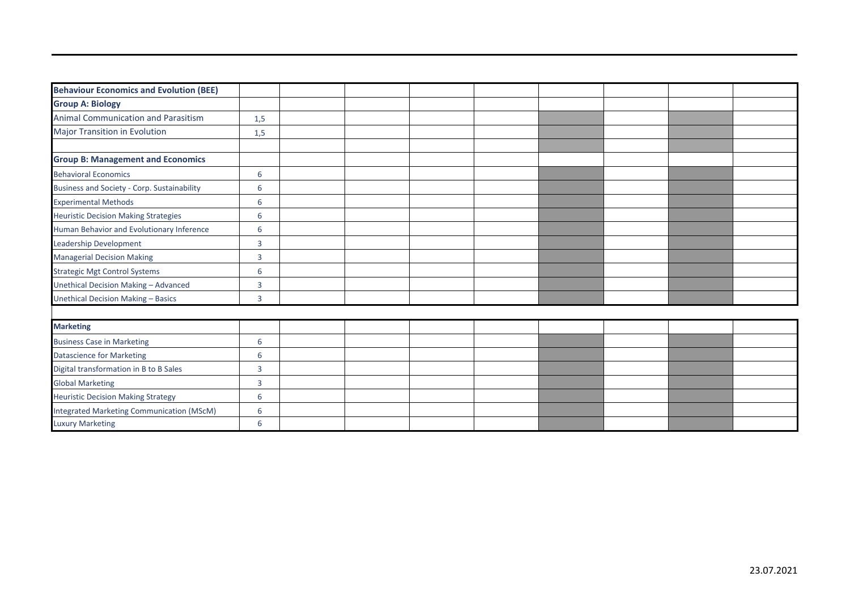| <b>Behaviour Economics and Evolution (BEE)</b> |     |  |  |  |
|------------------------------------------------|-----|--|--|--|
| <b>Group A: Biology</b>                        |     |  |  |  |
| Animal Communication and Parasitism            | 1,5 |  |  |  |
| <b>Major Transition in Evolution</b>           | 1,5 |  |  |  |
|                                                |     |  |  |  |
| <b>Group B: Management and Economics</b>       |     |  |  |  |
| <b>Behavioral Economics</b>                    | 6   |  |  |  |
| Business and Society - Corp. Sustainability    | 6   |  |  |  |
| <b>Experimental Methods</b>                    | 6   |  |  |  |
| <b>Heuristic Decision Making Strategies</b>    | 6   |  |  |  |
| Human Behavior and Evolutionary Inference      | 6   |  |  |  |
| Leadership Development                         | 3   |  |  |  |
| <b>Managerial Decision Making</b>              | 3   |  |  |  |
| <b>Strategic Mgt Control Systems</b>           | 6   |  |  |  |
| Unethical Decision Making - Advanced           | 3   |  |  |  |
| <b>Unethical Decision Making - Basics</b>      | 3   |  |  |  |
|                                                |     |  |  |  |
| <b>Marketing</b>                               |     |  |  |  |
| <b>Business Case in Marketing</b>              | 6   |  |  |  |
| <b>Datascience for Marketing</b>               | 6   |  |  |  |
| Digital transformation in B to B Sales         | 3   |  |  |  |
| <b>Global Marketing</b>                        | 3   |  |  |  |
| <b>Heuristic Decision Making Strategy</b>      | 6   |  |  |  |
| Integrated Marketing Communication (MScM)      | 6   |  |  |  |
| <b>Luxury Marketing</b>                        | 6   |  |  |  |